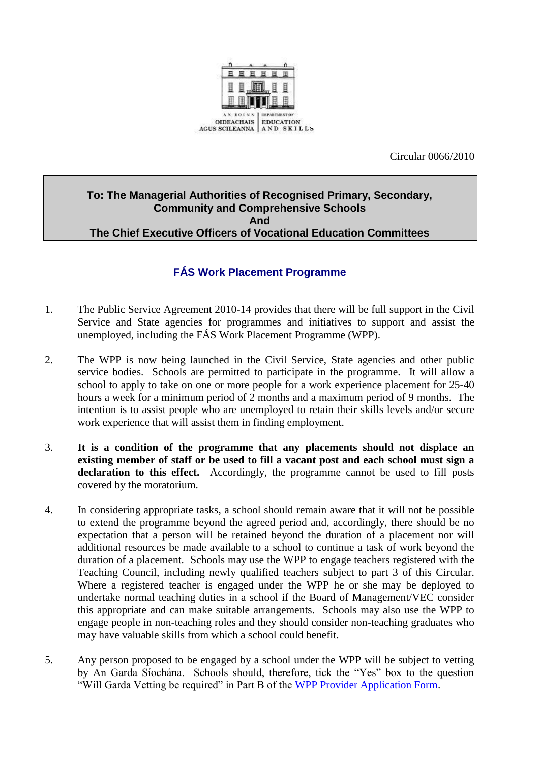

Circular 0066/2010

## **To: The Managerial Authorities of Recognised Primary, Secondary, Community and Comprehensive Schools And The Chief Executive Officers of Vocational Education Committees**

## **FÁS Work Placement Programme**

- 1. The Public Service Agreement 2010-14 provides that there will be full support in the Civil Service and State agencies for programmes and initiatives to support and assist the unemployed, including the FÁS Work Placement Programme (WPP).
- 2. The WPP is now being launched in the Civil Service, State agencies and other public service bodies. Schools are permitted to participate in the programme. It will allow a school to apply to take on one or more people for a work experience placement for 25-40 hours a week for a minimum period of 2 months and a maximum period of 9 months. The intention is to assist people who are unemployed to retain their skills levels and/or secure work experience that will assist them in finding employment.
- 3. **It is a condition of the programme that any placements should not displace an existing member of staff or be used to fill a vacant post and each school must sign a declaration to this effect.** Accordingly, the programme cannot be used to fill posts covered by the moratorium.
- 4. In considering appropriate tasks, a school should remain aware that it will not be possible to extend the programme beyond the agreed period and, accordingly, there should be no expectation that a person will be retained beyond the duration of a placement nor will additional resources be made available to a school to continue a task of work beyond the duration of a placement. Schools may use the WPP to engage teachers registered with the Teaching Council, including newly qualified teachers subject to part 3 of this Circular. Where a registered teacher is engaged under the WPP he or she may be deployed to undertake normal teaching duties in a school if the Board of Management/VEC consider this appropriate and can make suitable arrangements. Schools may also use the WPP to engage people in non-teaching roles and they should consider non-teaching graduates who may have valuable skills from which a school could benefit.
- 5. Any person proposed to be engaged by a school under the WPP will be subject to vetting by An Garda Síochána. Schools should, therefore, tick the "Yes" box to the question "Will Garda Vetting be required" in Part B of the [WPP Provider Application Form.](#page-7-0)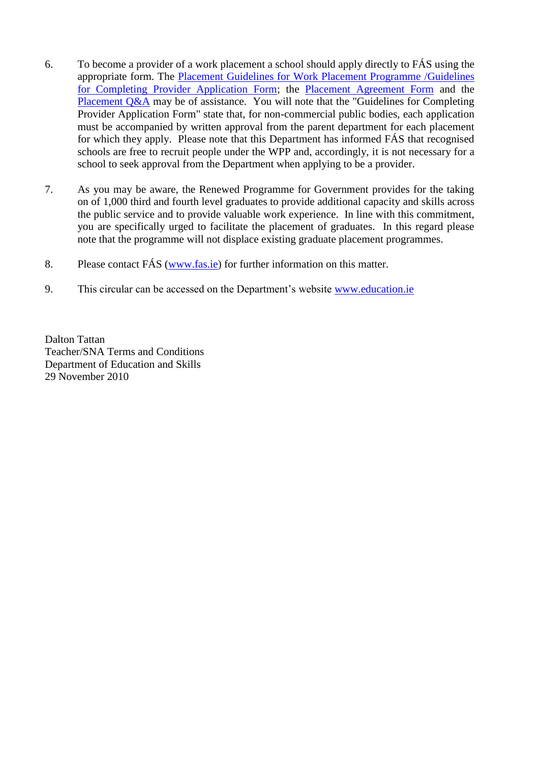- 6. To become a provider of a work placement a school should apply directly to FÁS using the appropriate form. The [Placement Guidelines for Work Placement Programme](#page-2-0) /Guidelines [for Completing Provider Application Form;](#page-2-0) the [Placement Agreement Form](#page-7-0) and the [Placement Q&A](#page-4-0) may be of assistance. You will note that the "Guidelines for Completing" Provider Application Form" state that, for non-commercial public bodies, each application must be accompanied by written approval from the parent department for each placement for which they apply. Please note that this Department has informed FÁS that recognised schools are free to recruit people under the WPP and, accordingly, it is not necessary for a school to seek approval from the Department when applying to be a provider.
- 7. As you may be aware, the Renewed Programme for Government provides for the taking on of 1,000 third and fourth level graduates to provide additional capacity and skills across the public service and to provide valuable work experience. In line with this commitment, you are specifically urged to facilitate the placement of graduates. In this regard please note that the programme will not displace existing graduate placement programmes.
- 8. Please contact FÁS [\(www.fas.ie\)](http://www.fas.ie/) for further information on this matter.
- 9. This circular can be accessed on the Department's website [www.education.ie](http://www.education.ie/)

Dalton Tattan Teacher/SNA Terms and Conditions Department of Education and Skills 29 November 2010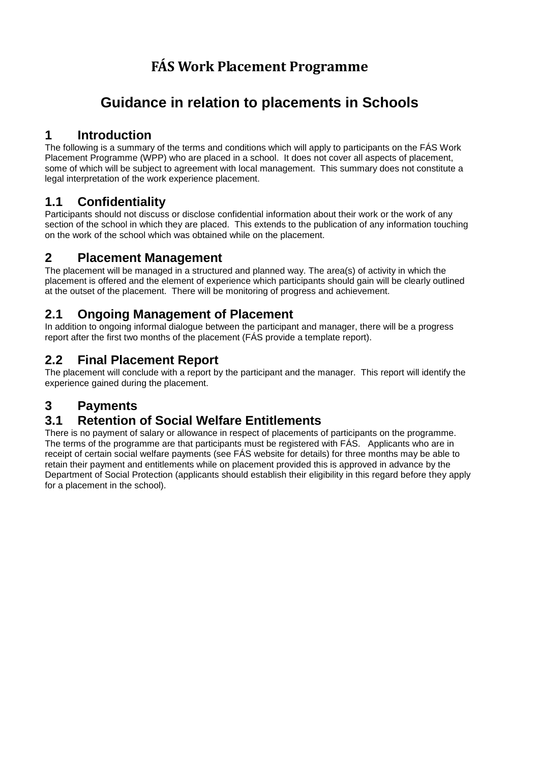# **FÁS Work Placement Programme**

# <span id="page-2-0"></span>**Guidance in relation to placements in Schools**

## **1 Introduction**

The following is a summary of the terms and conditions which will apply to participants on the FÁS Work Placement Programme (WPP) who are placed in a school. It does not cover all aspects of placement, some of which will be subject to agreement with local management. This summary does not constitute a legal interpretation of the work experience placement.

## **1.1 Confidentiality**

Participants should not discuss or disclose confidential information about their work or the work of any section of the school in which they are placed. This extends to the publication of any information touching on the work of the school which was obtained while on the placement.

## **2 Placement Management**

The placement will be managed in a structured and planned way. The area(s) of activity in which the placement is offered and the element of experience which participants should gain will be clearly outlined at the outset of the placement. There will be monitoring of progress and achievement.

## **2.1 Ongoing Management of Placement**

In addition to ongoing informal dialogue between the participant and manager, there will be a progress report after the first two months of the placement (FÁS provide a template report).

## **2.2 Final Placement Report**

The placement will conclude with a report by the participant and the manager. This report will identify the experience gained during the placement.

## **3 Payments**

## **3.1 Retention of Social Welfare Entitlements**

There is no payment of salary or allowance in respect of placements of participants on the programme. The terms of the programme are that participants must be registered with FÁS. Applicants who are in receipt of certain social welfare payments (see FÁS website for details) for three months may be able to retain their payment and entitlements while on placement provided this is approved in advance by the Department of Social Protection (applicants should establish their eligibility in this regard before they apply for a placement in the school).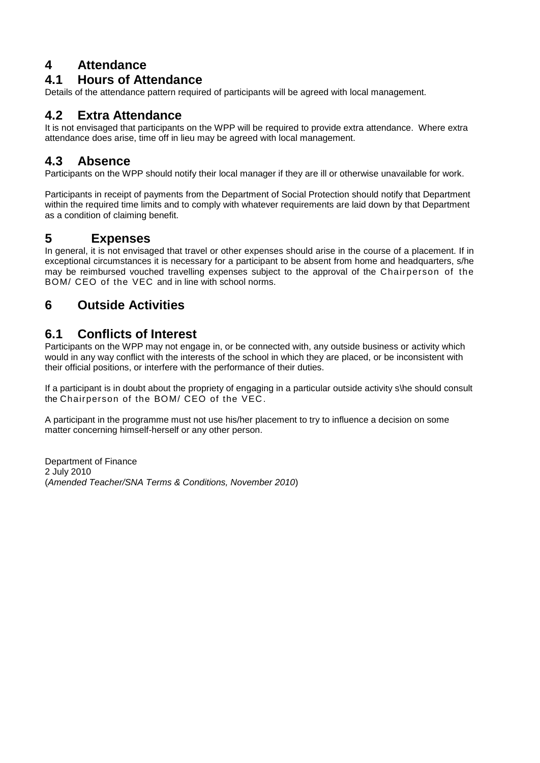## **4 Attendance**

## **4.1 Hours of Attendance**

Details of the attendance pattern required of participants will be agreed with local management.

## **4.2 Extra Attendance**

It is not envisaged that participants on the WPP will be required to provide extra attendance. Where extra attendance does arise, time off in lieu may be agreed with local management.

## **4.3 Absence**

Participants on the WPP should notify their local manager if they are ill or otherwise unavailable for work.

Participants in receipt of payments from the Department of Social Protection should notify that Department within the required time limits and to comply with whatever requirements are laid down by that Department as a condition of claiming benefit.

## **5 Expenses**

In general, it is not envisaged that travel or other expenses should arise in the course of a placement. If in exceptional circumstances it is necessary for a participant to be absent from home and headquarters, s/he may be reimbursed vouched travelling expenses subject to the approval of the Chairperson of the BOM/ CEO of the VEC and in line with school norms.

## **6 Outside Activities**

## **6.1 Conflicts of Interest**

Participants on the WPP may not engage in, or be connected with, any outside business or activity which would in any way conflict with the interests of the school in which they are placed, or be inconsistent with their official positions, or interfere with the performance of their duties.

If a participant is in doubt about the propriety of engaging in a particular outside activity s\he should consult the Chairperson of the BOM/ CEO of the VEC.

A participant in the programme must not use his/her placement to try to influence a decision on some matter concerning himself-herself or any other person.

Department of Finance 2 July 2010 (*Amended Teacher/SNA Terms & Conditions, November 2010*)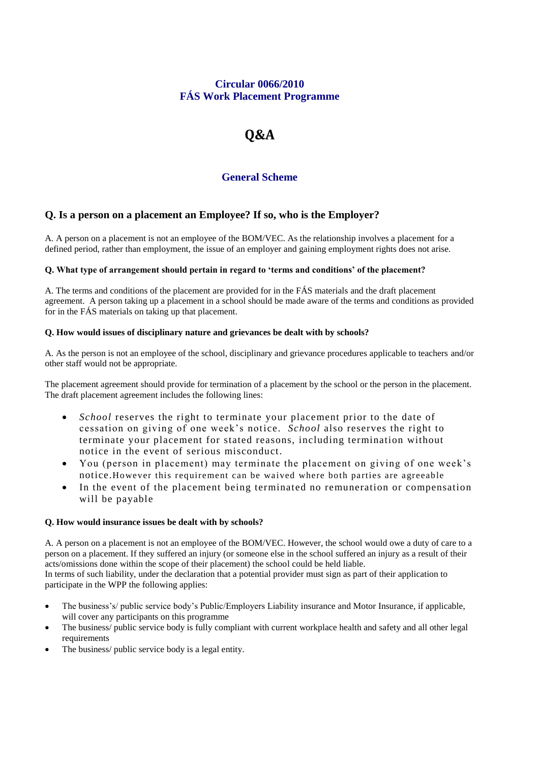## **Circular 0066/2010 FÁS Work Placement Programme**

# **Q&A**

## **General Scheme**

## <span id="page-4-0"></span>**Q. Is a person on a placement an Employee? If so, who is the Employer?**

A. A person on a placement is not an employee of the BOM/VEC. As the relationship involves a placement for a defined period, rather than employment, the issue of an employer and gaining employment rights does not arise.

### **Q. What type of arrangement should pertain in regard to 'terms and conditions' of the placement?**

A. The terms and conditions of the placement are provided for in the FÁS materials and the draft placement agreement. A person taking up a placement in a school should be made aware of the terms and conditions as provided for in the FÁS materials on taking up that placement.

### **Q. How would issues of disciplinary nature and grievances be dealt with by schools?**

A. As the person is not an employee of the school, disciplinary and grievance procedures applicable to teachers and/or other staff would not be appropriate.

The placement agreement should provide for termination of a placement by the school or the person in the placement. The draft placement agreement includes the following lines:

- *School* reserves the right to terminate your placement prior to the date of cessation on giving of one week's notice. *School* also reserves the right to terminate your placement for stated reasons, including termination without notice in the event of serious misconduct.
- You (person in placement) may terminate the placement on giving of one week's notice.However this requirement can be waived where both parties are agreeable
- In the event of the placement being terminated no remuneration or compensation will be payable

### **Q. How would insurance issues be dealt with by schools?**

A. A person on a placement is not an employee of the BOM/VEC. However, the school would owe a duty of care to a person on a placement. If they suffered an injury (or someone else in the school suffered an injury as a result of their acts/omissions done within the scope of their placement) the school could be held liable. In terms of such liability, under the declaration that a potential provider must sign as part of their application to participate in the WPP the following applies:

- The business's/ public service body's Public/Employers Liability insurance and Motor Insurance, if applicable, will cover any participants on this programme
- The business/ public service body is fully compliant with current workplace health and safety and all other legal requirements
- The business/ public service body is a legal entity.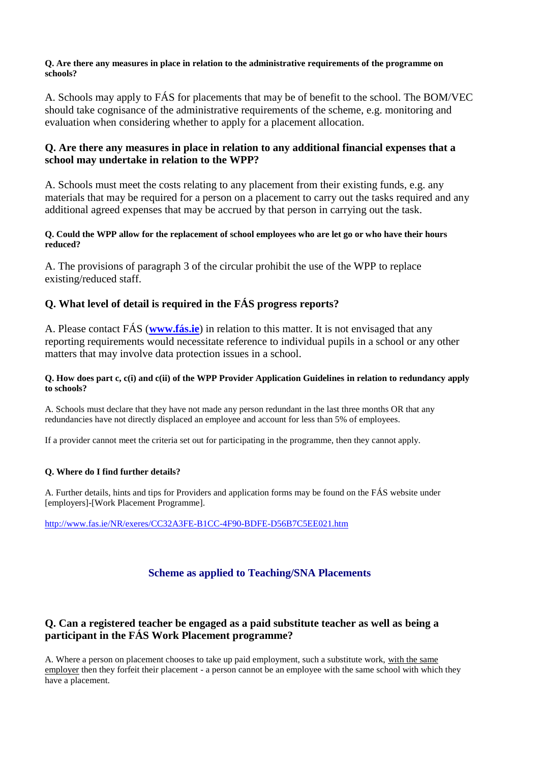### **Q. Are there any measures in place in relation to the administrative requirements of the programme on schools?**

A. Schools may apply to FÁS for placements that may be of benefit to the school. The BOM/VEC should take cognisance of the administrative requirements of the scheme, e.g. monitoring and evaluation when considering whether to apply for a placement allocation.

### **Q. Are there any measures in place in relation to any additional financial expenses that a school may undertake in relation to the WPP?**

A. Schools must meet the costs relating to any placement from their existing funds, e.g. any materials that may be required for a person on a placement to carry out the tasks required and any additional agreed expenses that may be accrued by that person in carrying out the task.

### **Q. Could the WPP allow for the replacement of school employees who are let go or who have their hours reduced?**

A. The provisions of paragraph 3 of the circular prohibit the use of the WPP to replace existing/reduced staff.

## **Q. What level of detail is required in the FÁS progress reports?**

A. Please contact FÁS (**[www.fás.ie](http://www.fás.ie/)**) in relation to this matter. It is not envisaged that any reporting requirements would necessitate reference to individual pupils in a school or any other matters that may involve data protection issues in a school.

### **Q. How does part c, c(i) and c(ii) of the WPP Provider Application Guidelines in relation to redundancy apply to schools?**

A. Schools must declare that they have not made any person redundant in the last three months OR that any redundancies have not directly displaced an employee and account for less than 5% of employees.

If a provider cannot meet the criteria set out for participating in the programme, then they cannot apply.

### **Q. Where do I find further details?**

A. Further details, hints and tips for Providers and application forms may be found on the FÁS website under [employers]-[Work Placement Programme].

<http://www.fas.ie/NR/exeres/CC32A3FE-B1CC-4F90-BDFE-D56B7C5EE021.htm>

## **Scheme as applied to Teaching/SNA Placements**

## **Q. Can a registered teacher be engaged as a paid substitute teacher as well as being a participant in the FÁS Work Placement programme?**

A. Where a person on placement chooses to take up paid employment, such a substitute work, with the same employer then they forfeit their placement - a person cannot be an employee with the same school with which they have a placement.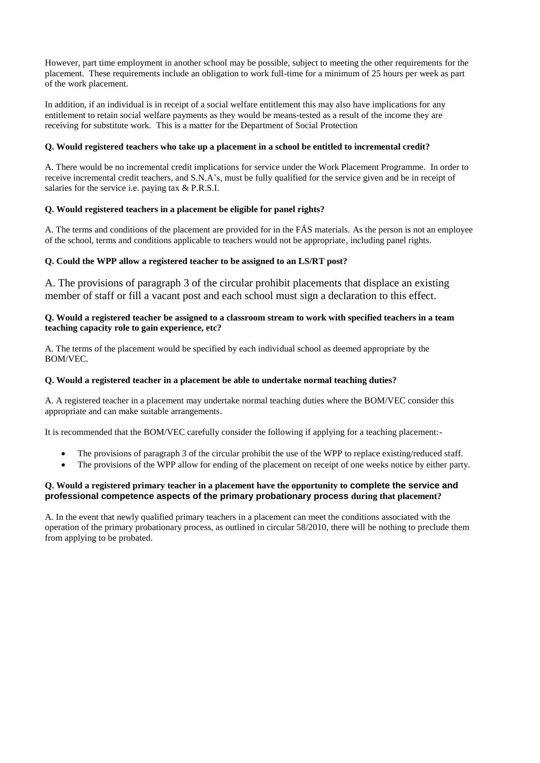However, part time employment in another school may be possible, subject to meeting the other requirements for the placement. These requirements include an obligation to work full-time for a minimum of 25 hours per week as part of the work placement.

In addition, if an individual is in receipt of a social welfare entitlement this may also have implications for any entitlement to retain social welfare payments as they would be means-tested as a result of the income they are receiving for substitute work. This is a matter for the Department of Social Protection

### **Q. Would registered teachers who take up a placement in a school be entitled to incremental credit?**

A. There would be no incremental credit implications for service under the Work Placement Programme. In order to receive incremental credit teachers, and S.N.A's, must be fully qualified for the service given and be in receipt of salaries for the service i.e. paying tax & P.R.S.I.

### **Q. Would registered teachers in a placement be eligible for panel rights?**

A. The terms and conditions of the placement are provided for in the FÁS materials. As the person is not an employee of the school, terms and conditions applicable to teachers would not be appropriate, including panel rights.

### **Q. Could the WPP allow a registered teacher to be assigned to an LS/RT post?**

A. The provisions of paragraph 3 of the circular prohibit placements that displace an existing member of staff or fill a vacant post and each school must sign a declaration to this effect.

#### **Q. Would a registered teacher be assigned to a classroom stream to work with specified teachers in a team teaching capacity role to gain experience, etc?**

A. The terms of the placement would be specified by each individual school as deemed appropriate by the BOM/VEC.

#### **Q. Would a registered teacher in a placement be able to undertake normal teaching duties?**

A. A registered teacher in a placement may undertake normal teaching duties where the BOM/VEC consider this appropriate and can make suitable arrangements.

It is recommended that the BOM/VEC carefully consider the following if applying for a teaching placement:-

- The provisions of paragraph 3 of the circular prohibit the use of the WPP to replace existing/reduced staff.
- The provisions of the WPP allow for ending of the placement on receipt of one weeks notice by either party.

### **Q. Would a registered primary teacher in a placement have the opportunity to complete the service and professional competence aspects of the primary probationary process during that placement?**

A. In the event that newly qualified primary teachers in a placement can meet the conditions associated with the operation of the primary probationary process, as outlined in circular 58/2010, there will be nothing to preclude them from applying to be probated.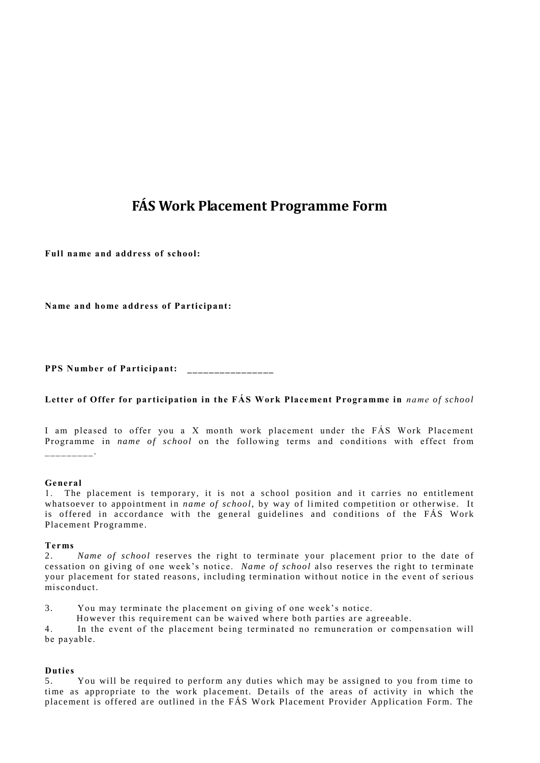## **FÁS Work Placement Programme Form**

<span id="page-7-0"></span>**Full na me and address of school:**

**Name and ho me address of Participant:**

**PPS Number of Participant: \_\_\_\_\_\_\_\_\_\_\_\_\_\_\_\_**

#### Letter of Offer for participation in the FAS Work Placement Programme in *name of school*

I am pleased to offer you a X month work placement under the FÁS Work Placement Programme in *name of school* on the following terms and conditions with effect from  $\overline{\phantom{a}}$  . The set of the set of the set of the set of the set of the set of the set of the set of the set of the set of the set of the set of the set of the set of the set of the set of the set of the set of the set o

#### **General**

1. The placement is temporary, it is not a school position and it carries no entitlement whatsoever to appointment in *name of school*, by way of limited competition or otherwise. It is offered in accordance with the general guidelines and conditions of the FÁS Work Placement Programme .

#### **Te rms**

3. You may terminate the placement on giving of one week's notice.

However this requirement can be waived where both parties are agreeable.

4. In the event of the placement being terminated no remuneration or compensation will be payable.

#### **Duties**

<sup>2.</sup> *Name of school* reserves the right to terminate your placement prior to the date of cessation on giving of one week's notice. *Name of school* also reserves the right to terminate your placement for stated reasons, including termination without notice in the event of serious misconduct.

<sup>5.</sup> You will be required to perform any duties which may be assigned to you from time to time as appropriate to the work placement. De tails of the areas of activity in which the placement is offered are outlined in the FÁS Work Placement Provider Application Form. The